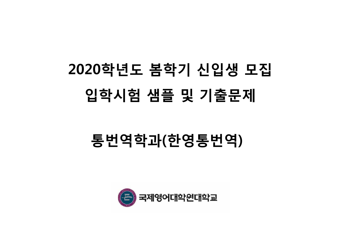

### 통번역학과(한영통번역)

## 2020학년도 봄학기 신입생 모집 입학시험 샘플 <sup>및</sup> 기출문제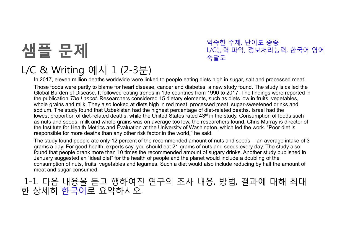

#### 익숙한 주제, 난이도 중중L/C능력 파악, 정보처리능력, 한국어 영어<br>수단도 숙달도

#### L/C & Writing 예시 1 (2-3분)

In 2017, eleven million deaths worldwide were linked to people eating diets high in sugar, salt and processed meat.

Those foods were partly to blame for heart disease, cancer and diabetes, a new study found. The study is called the Global Burden of Disease. It followed eating trends in 195 countries from 1990 to 2017. The findings were reported in<br>the publication The Lancet Besearchers considered 15 dictary elements, such as dicts lew in fruits, vege the publication *The Lancet.* Researchers considered 15 dietary elements, such as diets low in fruits, vegetables, whole grains and milk. They also looked at diets high in red meat, processed meat, sugar-sweetened drinks and sodium. The study found that Uzbekistan had the highest percentage of diet-related deaths. Israel had the lowest proportion of diet-related deaths, while the United States rated 43rd in the study. Consumption of foods such as nuts and seeds, milk and whole grains was on average too low, the researchers found. Chris Murray is director of the Institute for Health Metrics and Evaluation at the University of Washington, which led the work. "Poor diet is responsible for more deaths than any other risk factor in the world," he said.

The study found people ate only 12 percent of the recommended amount of nuts and seeds -- an average intake of 3 grams a day. For good health, experts say, you should eat 21 grams of nuts and seeds every day. The study also found that people drank more than 10 times the recommended amount of sugary drinks. Another study published in January suggested an "ideal diet" for the health of people and the planet would include a doubling of the consumption of nuts, fruits, vegetables and legumes. Such a diet would also include reducing by half the amount of meat and sugar consumed.

1-1. 다음 내용을 듣고 행하여진 연구의 조사 내용, 방법, 결과에 대해 최대<br><sub>자 상세히</sub> 하<del>고</del>어로 요약하시오 <sup>한</sup> 상세히 한국어로 요약하시오.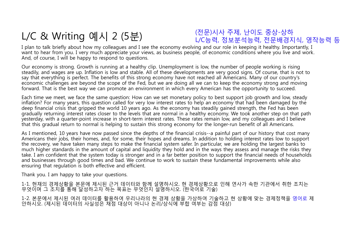#### L/C & Writing 예시 2 (5분)

#### (전문)시사 주제, 난이도 중상-상하L/C능력, 정보분석능력, 전문배경지식, 영작능력 <sup>등</sup>

I plan to talk briefly about how my colleagues and I see the economy evolving and our role in keeping it healthy. Importantly, I want to hear from you. I very much appreciate your views, as business people, of economic conditions where you live and work. And, of course, I will be happy to respond to questions.

Our economy is strong. Growth is running at a healthy clip. Unemployment is low, the number of people working is rising steadily, and wages are up. Inflation is low and stable. All of these developments are very good signs. Of course, that is not to say that everything is perfect. The benefits of this strong economy have not reached all Americans. Many of our country's economic challenges are beyond the scope of the Fed, but we are doing all we can to keep the economy strong and moving forward. That is the best way we can promote an environment in which every American has the opportunity to succeed.

Each time we meet, we face the same question: How can we set monetary policy to best support job growth and low, steady inflation? For many years, this question called for very low interest rates to help an economy that had been damaged by the deep financial crisis that gripped the world 10 years ago. As the economy has steadily gained strength, the Fed has been gradually returning interest rates closer to the levels that are normal in a healthy economy. We took another step on that path yesterday, with a quarter-point increase in short-term interest rates. These rates remain low, and my colleagues and I believe that this gradual return to normal is helping to sustain this strong economy for the longer-run benefit of all Americans.

As I mentioned, 10 years have now passed since the depths of the financial crisis--a painful part of our history that cost many Americans their jobs, their homes, and, for some, their hopes and dreams. In addition to holding interest rates low to support the recovery, we have taken many steps to make the financial system safer. In particular, we are holding the largest banks to much higher standards in the amount of capital and liquidity they hold and in the ways they assess and manage the risks they take. I am confident that the system today is stronger and in a far better position to support the financial needs of householdsand businesses through good times and bad. We continue to work to sustain these fundamental improvements while also ensuring that regulation is both effective and efficient.

Thank you. I am happy to take your questions.

1-1. 현재의 경제상황을 본문에 제시된 근거 데이터와 함께 설명하시오. 현 경제상황으로 인해 연사가 속한 기관에서 취한 조치는 무엇이며 <sup>그</sup> 조치를 통해 달성하고자 하는 목표는 무엇인지 설명하시오. (한국어로 기술)

1-2. 본문에서 제시된 여러 데이터를 활용하여 우리나라의 <sup>현</sup> 경제 상황을 가상하여 기술하고 <sup>현</sup> 상황에 맞는 경제정책을 영어로 제안하시오. (제시된 데이터의 사실성은 채점 대상이 아니나 논리/상식에 부합 여부는 감점 대상)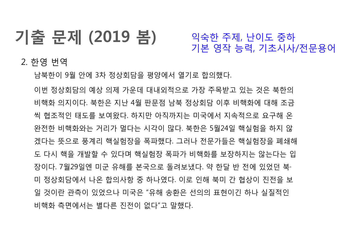## 기출 문제 (2019 봄)

익숙한 주제, 난이도 중하<br>기보 여자 느려 기초시사 기본 영작 능력, 기초시사/전문용어

2. 한영 번역

남북한이 9월 안에 3차 정상회담을 평양에서 열기로 합의했다.

이번 정상회담의 예상 의제 가운데 대내외적으로 가장 주목받고 있는 것은 북한의 비핵화 의지이다. 북한은 지난 4월 판문점 남북 정상회담 이후 비핵화에 대해 조금 <sup>씩</sup> 협조적인 태도를 보여왔다. 하지만 아직까지는 미국에서 지속적으로 요구해 <sup>온</sup> 완전한 비핵화와는 거리가 멀다는 시각이 많다. 북한은 5월24일 핵실험을 하지 <sup>않</sup> 겠다는 뜻으로 풍계리 핵실험장을 폭파했다. 그러나 전문가들은 핵실험장을 폐쇄해 <sup>도</sup> 다시 핵을 개발할 <sup>수</sup> 있다며 핵실험장 폭파가 비핵화를 보장하지는 않는다는 <sup>입</sup> 장이다. 7월29일엔 미군 유해를 본국으로 돌려보냈다. 약 한달 <sup>반</sup> 전에 있었던 북· <sup>미</sup> 정상회담에서 나온 합의사항 <sup>중</sup> 하나였다. 이로 인해 북미 <sup>간</sup> 협상이 진전을 <sup>보</sup> <sup>일</sup> 것이란 관측이 있었으나 미국은 "유해 송환은 선의의 표현이긴 하나 실질적인 비핵화 측면에서는 별다른 진전이 없다"고 말했다.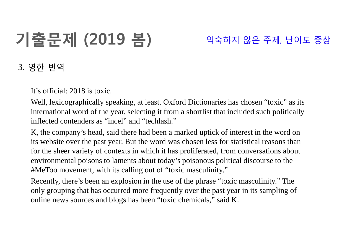# 기출문제 (2019 봄)

### 익숙하지 않은 주제, 난이도 중상

### 3. 영한 번역

It's official: 2018 is toxic.

Well, lexicographically speaking, at least. Oxford Dictionaries has chosen "toxic" as its international word of the year, selecting it from a shortlist that included such politically inflected contenders as "incel" and "techlash."

K, the company's head, said there had been a marked uptick of interest in the word on its website over the past year. But the word was chosen less for statistical reasons than for the sheer variety of contexts in which it has proliferated, from conversations about environmental poisons to laments about today's poisonous political discourse to the #MeToo movement, with its calling out of "toxic masculinity."

Recently, there's been an explosion in the use of the phrase "toxic masculinity." The only grouping that has occurred more frequently over the past year in its sampling of online news sources and blogs has been "toxic chemicals," said K.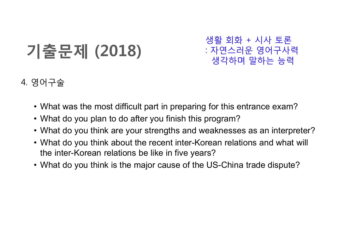## 기출문제 (2018)

생활 회화 + 시사 토론<br>· 쟈여스러우 여어구사 : 자연스러운 영어구사력 생각하며 말하는 능력

#### 4. 영어구술

- What was the most difficult part in preparing for this entrance exam?
- What do you plan to do after you finish this program?
- What do you think are your strengths and weaknesses as an interpreter?
- What do you think about the recent inter-Korean relations and what will be interthe inter-Korean relations be like in five years?
- What do you think is the major cause of the US-China trade dispute?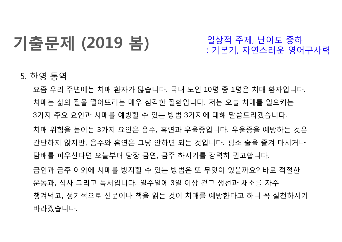## 기출문제 (2019 봄)

일상적 주제, 난이도 중하<br>· 기보기 자여스러우 여어 : 기본기, 자연스러운 영어구사력

### 5. 한영 통역

요즘 우리 주변에는 치매 환자가 많습니다. 국내 노인 <sup>10</sup><sup>명</sup> <sup>중</sup> <sup>1</sup>명은 치매 환자입니다. 치매는 삶의 질을 떨어뜨리는 매우 심각한 질환입니다. 저는 오늘 치매를 일으키는 3가지 주요 요인과 치매를 예방할 <sup>수</sup> 있는 방법 <sup>3</sup>가지에 대해 말씀드리겠습니다. 치매 위험을 높이는 <sup>3</sup>가지 요인은 음주, 흡연과 우울증입니다. 우울증을 예방하는 것은 간단하지 않지만, 음주와 흡연은 그냥 안하면 되는 것입니다. 평소 술을 즐겨 마시거나 담배를 피우신다면 오늘부터 당장 금연, 금주 하시기를 강력히 권고합니다. 금연과 금주 이외에 치매를 방지할 <sup>수</sup> 있는 방법은 <sup>또</sup> 무엇이 있을까요? 바로 적절한 운동과, 식사 그리고 독서입니다. 일주일에 <sup>3</sup><sup>일</sup> 이상 걷고 생선과 채소를 자주 챙겨먹고, 정기적으로 신문이나 책을 읽는 것이 치매를 예방한다고 하니 <sup>꼭</sup> 실천하시기 바라겠습니다.